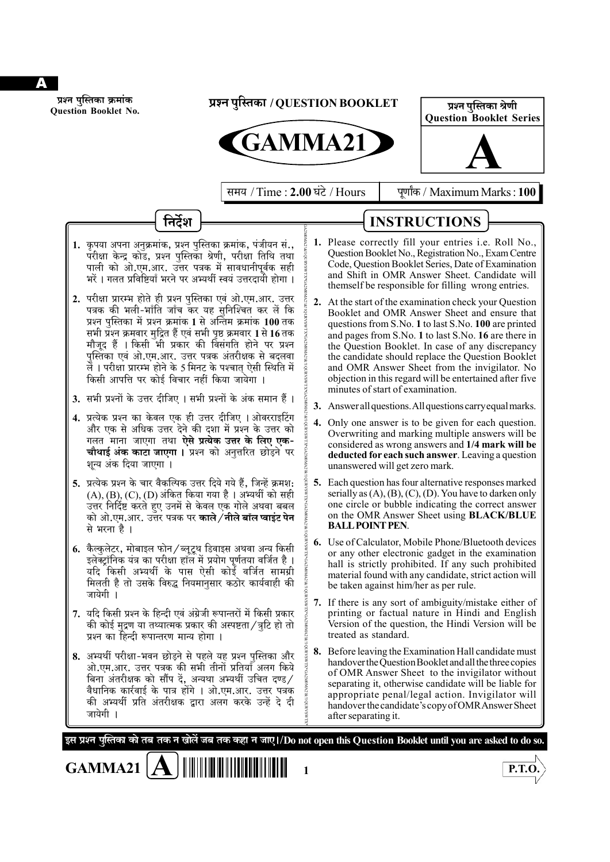

**Question Booklet No.**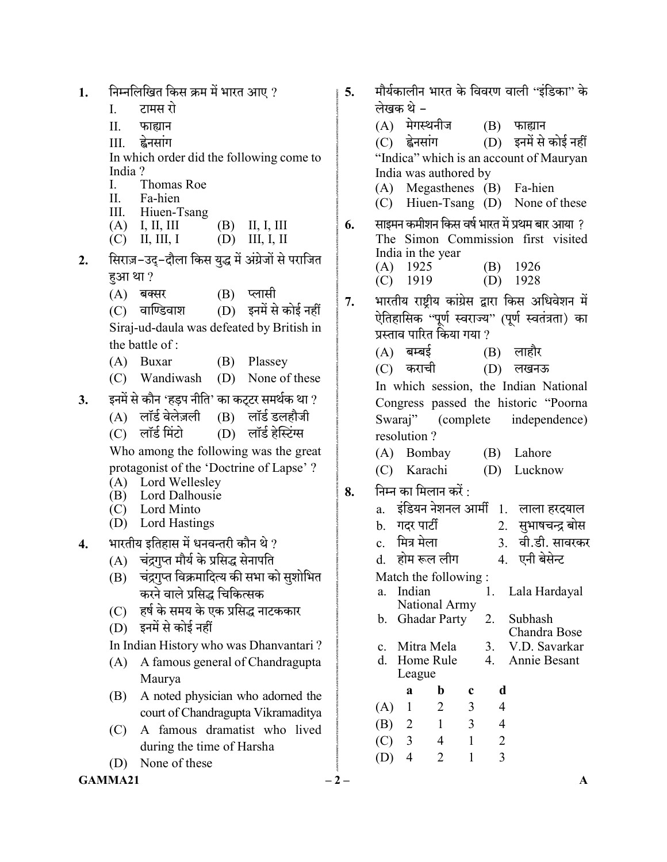$GAMMA21$   $-2$   $1.$  निम्नलिखित किस क्रम में भारत आए ? I. II. III. ह्वेनसांग In which order did the following come to India ? I. Thomas Roe II. Fa-hien III. Hiuen-Tsang (A) I, II, III (B) II, I, III (C) II, III, I (D) III, I, II 2. सिराज़-उदु-दौला किस युद्ध में अंग्रेजों से पराजित हुआ था? (A) बक्सर (B) प्लासी<br>(C) वाण्डिवाश (D) इनमें से  $(D)$  इनमें से कोई नहीं Siraj-ud-daula was defeated by British in the battle of : (A) Buxar (B) Plassey (C) Wandiwash (D) None of these 3. इनमें से कौन 'हड़प नीति' का कट्टर समर्थक था ?<br>(A) लॉर्ड वेलेज़ली (B) लॉर्ड डलहौजी  $(A)$  लॉर्ड वेलेज़ली  $(C)$  लॉर्ड मिंटो $(D)$  लॉर्ड हेस्टिंग्स Who among the following was the great protagonist of the 'Doctrine of Lapse' ? (A) Lord Wellesley (B) Lord Dalhousie (C) Lord Minto (D) Lord Hastings 4. भारतीय इतिहास में धनवन्तरी कौन थे ? (A) चंद्रगप्त मौर्य के प्रसिद्ध सेनापति (B) चंद्रगुप्त विक्रमादित्य की सभा को सुशोभित करने वाले प्रसिद्ध चिकित्सक (C) हर्ष के समय के एक प्रसिद्ध नाटककार (D) In Indian History who was Dhanvantari ? (A) A famous general of Chandragupta Maurya (B) A noted physician who adorned the court of Chandragupta Vikramaditya (C) A famous dramatist who lived during the time of Harsha (D) None of these 5. मौर्यकालीन भारत के विवरण वाली ''इंडिका'' के लेखक थे - $(A)$  मेगस्थनीज  $(B)$  फाह्यान (C) ह्वेनसांग (D) इनमें से कोई नहीं "Indica" which is an account of Mauryan India was authored by (A) Megasthenes (B) Fa-hien (C) Hiuen-Tsang (D) None of these  $6.$  साइमन कमीशन किस वर्ष भारत में प्रथम बार आया ? The Simon Commission first visited India in the year (A) 1925 (B) 1926 (C) 1919 (D) 1928 7. भारतीय राष्टीय कांग्रेस द्वारा किस अधिवेशन में ऐतिहासिक ''पूर्ण स्वराज्य'' (पूर्ण स्वतंत्रता) का प्रस्ताव पारित किया गया ?  $(A)$  बम्बई  $(B)$  लाहौर (C) कराची (D) लखनऊ In which session, the Indian National Congress passed the historic "Poorna Swaraj" (complete independence) resolution ? (A) Bombay (B) Lahore (C) Karachi (D) Lucknow  $8.$  निम्न का मिलान करें : a. इंडियन नेशनल आर्मी 1. लाला हरदयाल b. 2. 3. वी.डी. सावरकर<br>4. एनी बेसेन्ट d. होम रूल लीग Match the following : a. Indian National Army 1. Lala Hardayal b. Ghadar Party 2. Subhash Chandra Bose c. Mitra Mela 3. V.D. Savarkar d. Home Rule League 4. Annie Besant a b c d (A) 1 2 3 4 (B) 2 1 3 4 (C) 3 4 1 2 (D) 4 2 1 3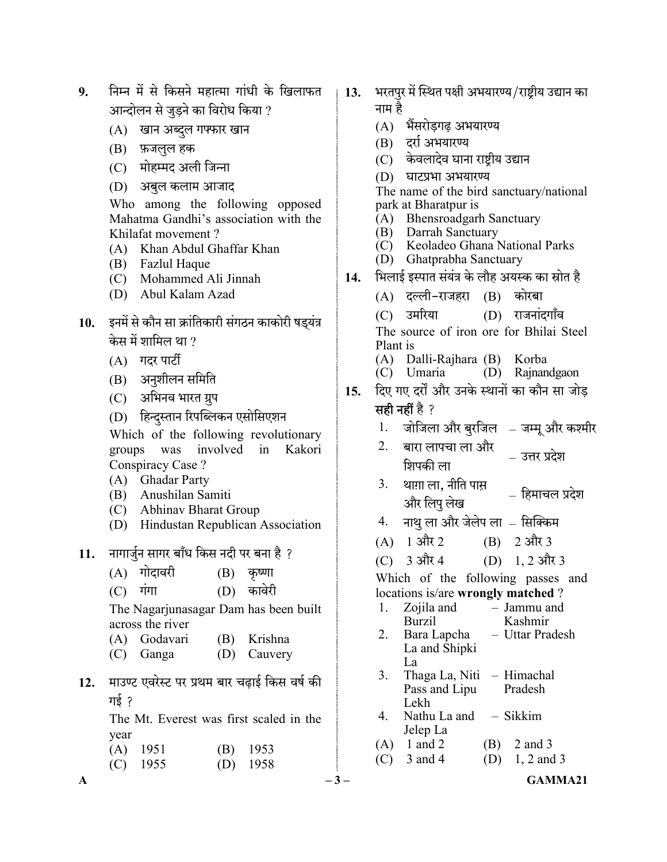- 9. निम्न में से किसने महात्मा गांधी के खिलाफत आन्दोलन से जुडने का विरोध किया ?
	- (A) खान अब्दुल गफ्फार खान
	- (B)
	- (C) मोहम्मद अली जिन्ना
	- (D)

 Who among the following opposed Mahatma Gandhi's association with the Khilafat movement ?

- (A) Khan Abdul Ghaffar Khan
- (B) Fazlul Haque
- (C) Mohammed Ali Jinnah
- (D) Abul Kalam Azad
- 10. इनमें से कौन सा क्रांतिकारी संगठन काकोरी षड्यंत्र केस में शामिल था ?
	- $(A)$  गदर पार्टी
	- (B) अनुशीलन समिति
	- (C) अभिनव भारत ग्रुप
	- (D) हिन्दुस्तान रिपब्लिकन एसोसिएशन

 Which of the following revolutionary groups was involved in Kakori Conspiracy Case ?

- (A) Ghadar Party
- (B) Anushilan Samiti
- (C) Abhinav Bharat Group
- (D) Hindustan Republican Association
- 11. नागार्जुन सागर बाँध किस नदी पर बना है ?
	- $(A)$  गोदावरी  $(B)$  कृष्णा
	- $(C)$  गंगा  $(D)$  कावेरी

 The Nagarjunasagar Dam has been built across the river

- (A) Godavari (B) Krishna
- (C) Ganga (D) Cauvery
- 12. माउण्ट एवरेस्ट पर प्रथम बार चढ़ाई किस वर्ष की गई २

 The Mt. Everest was first scaled in the year

| $(A)$ 1951 | $(B)$ 1953 |
|------------|------------|
| $(C)$ 1955 | $(D)$ 1958 |

- 13. भरतपुर में स्थित पक्षी अभयारण्य/राष्ट्रीय उद्यान का नाम है
	- (A)
	- (B)
	- (C) केवलादेव घाना राष्ट्रीय उद्यान
	- (D)

 The name of the bird sanctuary/national park at Bharatpur is

- (A) Bhensroadgarh Sanctuary
- (B) Darrah Sanctuary
- (C) Keoladeo Ghana National Parks
- (D) Ghatprabha Sanctuary
- 14. भिलाई इस्पात संयंत्र के लौह अयस्क का स्रोत है
	- (A) दल्ली-राजहरा (B) कोरबा
	- (C) उमरिया (D) राजनांदगाँव

 The source of iron ore for Bhilai Steel Plant is

- (A) Dalli-Rajhara (B) Korba
- $(C)$  Umaria
- 15. दिए गए दर्रों और उनके स्थानों का कौन सा जोड

### सही नहीं है ?

- 1. जोजिला और बुरजिल जम्मू और कश्मीर
- 2. बारा लापचा ला आर उत्तर प्रदेश<br>शिपकी ला
- $3.$  थाग़ा ला, नीति पास आः॥ ९॥, नाहा नाहा । – हिमाचल प्रदेश<br>और लिपु लेख
- 4. नाथू ला और जेलेप ला सिक्किम
- $(A)$  1 और 2 (B) 2 और 3
- (C)  $3 \text{ and } 4$  (D)  $1, 2 \text{ and } 3$

 Which of the following passes and locations is/are wrongly matched ?

- 1. Zojila and Burzil – Jammu and Kashmir
- 2. Bara Lapcha La and Shipki La – Uttar Pradesh
- 3. Thaga La, Niti Himachal Pass and Lipu Lekh Pradesh
- 4. Nathu La and Sikkim Jelep La
- (A)  $1 \text{ and } 2$  (B)  $2 \text{ and } 3$
- (C)  $3 \text{ and } 4$  (D)  $1, 2 \text{ and } 3$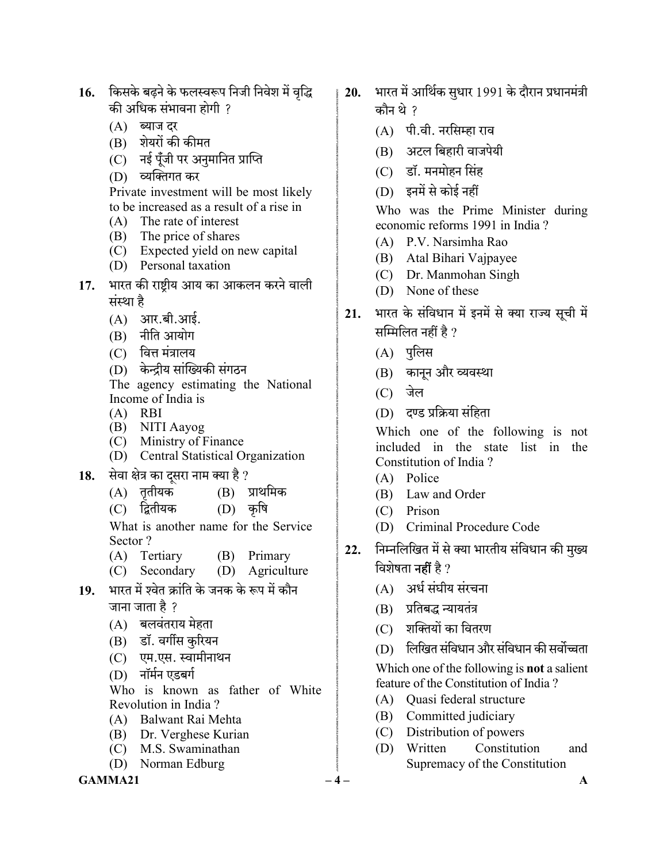- 16. किसके बढ़ने के फलस्वरूप निजी निवेश में वृद्धि की अधिक संभावना होगी ?
	- (A) ब्याज दर
	- (B) शेयरों की कीमत
	- (C) नई पूँजी पर अनुमानित प्राप्ति
	- (D)

 Private investment will be most likely to be increased as a result of a rise in

- (A) The rate of interest
- (B) The price of shares
- (C) Expected yield on new capital
- (D) Personal taxation
- 17. भारत की राष्ट्रीय आय का आकलन करने वाली संस्था है
	- $(A)$  आर.बी.आई.
	- (B) नीति आयोग
	- $(C)$  वित्त मंत्रालय
	- (D) केन्द्रीय सांख्यिकी संगठन

 The agency estimating the National Income of India is

- (A) RBI
- (B) NITI Aayog
- (C) Ministry of Finance
- (D) Central Statistical Organization
- 18. सेवा क्षेत्र का दूसरा नाम क्या है ?<br>(A) ततीयक (B) प्राथमिक
	- $(A)$  तृतीयक
	- (C) द्वितीयक (D) कृषि

 What is another name for the Service Sector ?

- (A) Tertiary (B) Primary
- (C) Secondary (D) Agriculture
- 19. भारत में श्वेत क्रांति के जनक के रूप में कौन जाना जाता है ?
	- $(A)$  बलवंतराय मेहता
	- (B) डॉ. वर्गीस कुरियन
	- (C) एम.एस. स्वामीनाथन
	- (D)

 Who is known as father of White Revolution in India ?

- (A) Balwant Rai Mehta
- (B) Dr. Verghese Kurian
- (C) M.S. Swaminathan
- (D) Norman Edburg

#### $GAMMA21$   $-4$   $-$

- $20.$  भारत में आर्थिक सुधार 1991 के दौरान प्रधानमंत्री कौन थे ?
	- (A) पी.वी. नरसिम्हा राव
	- (B) अटल बिहारी वाजपेयी
	- (C) डॉ. मनमोहन सिंह
	- (D)

 Who was the Prime Minister during economic reforms 1991 in India ?

- (A) P.V. Narsimha Rao
- (B) Atal Bihari Vajpayee
- (C) Dr. Manmohan Singh
- (D) None of these
- 21. भारत के संविधान में इनमें से क्या राज्य सूची में सम्मिलित नहीं है ?
	- (A) पुलिस
	- (B) कानून और व्यवस्था
	- $(C)$  जेल
	- (D) दण्ड प्रक्रिया संहिता

 Which one of the following is not included in the state list in the Constitution of India ?

- (A) Police
- (B) Law and Order
- (C) Prison
- (D) Criminal Procedure Code
- 22. निम्नलिखित में से क्या भारतीय संविधान की मुख्य विशेषता **नहीं** है ?
	- (A) अर्ध संघीय संरचना
	- (B) प्रतिबद्ध न्यायतंत्र
	- (C) शक्तियों का वितरण
	- (D) लिखित संविधान और संविधान की सर्वोच्चता

Which one of the following is **not** a salient feature of the Constitution of India ?

- (A) Quasi federal structure
- (B) Committed judiciary
- (C) Distribution of powers
- (D) Written Constitution and Supremacy of the Constitution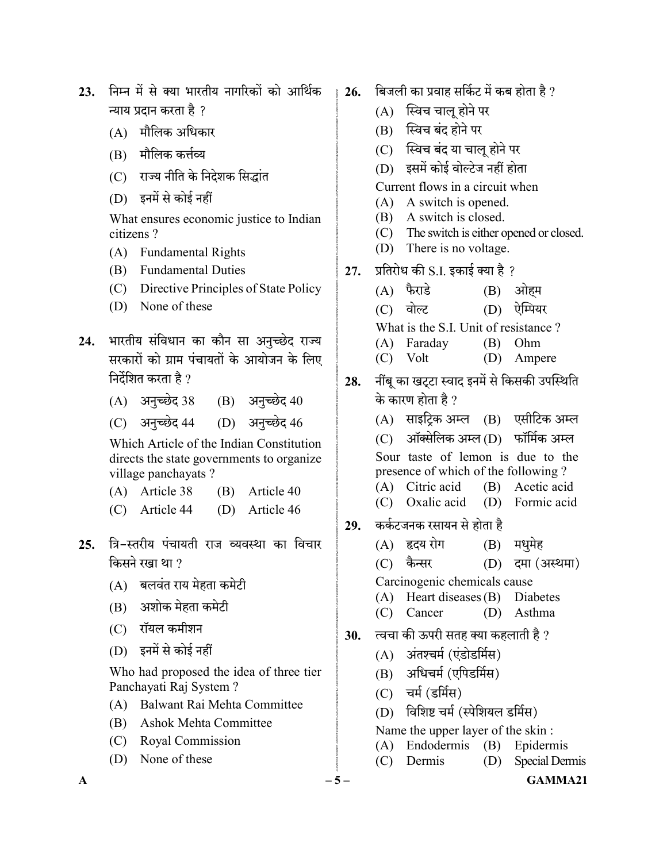- 23. निम्न में से क्या भारतीय नागरिकों को आर्थिक न्याय प्रदान करता है ?
	- (A)
	- (B) मौलिक कर्त्तव्य
	- (C) राज्य नीति के निदेशक सिद्धांत
	- (D)

 What ensures economic justice to Indian citizens ?

- (A) Fundamental Rights
- (B) Fundamental Duties
- (C) Directive Principles of State Policy
- (D) None of these
- 24. भारतीय संविधान का कौन सा अनुच्छेद राज्य सरकारों को ग्राम पंचायतों के आयोजन के लिए निर्देशित करता है ?
	- $(A)$  अनुच्छेद 38  $(B)$  अनुच्छेद 40
	- (C) अनुच्छेद 44 (D) अनुच्छेद 46

 Which Article of the Indian Constitution directs the state governments to organize village panchayats ?

- (A) Article 38 (B) Article 40
- (C) Article 44 (D) Article 46
- 25. त्रि-स्तरीय पंचायती राज व्यवस्था का विचार किसने रखा था ?
	- (A) बलवंत राय मेहता कमेटी
	- (B) अशोक मेहता कमेटी
	- (C) रॉयल कमीशन
	- (D)

 Who had proposed the idea of three tier Panchayati Raj System ?

- (A) Balwant Rai Mehta Committee
- (B) Ashok Mehta Committee
- (C) Royal Commission
- (D) None of these
- 26. बिजली का प्रवाह सर्किट में कब होता है ?
	- $(A)$  स्विच चालू होने पर
	- (B) स्विच बंद होने पर
	- (C) स्विच बंद या चालू होने पर
	- (D) इसमें कोई वोल्टेज नहीं होता
	- Current flows in a circuit when
	- (A) A switch is opened.
	- (B) A switch is closed.
	- (C) The switch is either opened or closed.
	- (D) There is no voltage.
- $27.$  प्रतिरोध की S.I. इकाई क्या है ?
	- $(A)$  फैराडे  $(B)$  ओहम
	- (C) वोल्ट (D) ऐम्पियर
	- What is the S.I. Unit of resistance ?
	- (A) Faraday (B) Ohm
	- (C) Volt (D) Ampere
- 28. नींबू का खट्टा स्वाद इनमें से किसकी उपस्थिति के कारण होता है ?
	- $(A)$  साइटिक अम्ल  $(B)$  एसीटिक अम्ल
	- $(C)$  ऑक्सेलिक अम्ल $(D)$  फॉर्मिक अम्ल Sour taste of lemon is due to the
	- presence of which of the following ?
	- (A) Citric acid (B) Acetic acid
	- (C) Oxalic acid (D) Formic acid
- 29. कर्कटजनक रसायन से होता है
	- (A) हृदय रोग (B) मधुमेह
	- $(C)$  कैन्सर  $(D)$  दमा (अस्थमा)
	- Carcinogenic chemicals cause
	- (A) Heart diseases (B) Diabetes
	- (C) Cancer (D) Asthma
- $30.$  त्वचा की ऊपरी सतह क्या कहलाती है ?
	- (A) अंतश्चर्म (एंडोडर्मिस)
	- (B) अधिचर्म (एपिडर्मिस)
	- $(C)$  चर्म (डर्मिस)
	- (D) विशिष्ट चर्म (स्पेशियल डर्मिस)
	- Name the upper layer of the skin :
	- (A) Endodermis (B) Epidermis
	- (C) Dermis (D) Special Dermis

 $\mathbf{A}$  – 5 – GAMMA21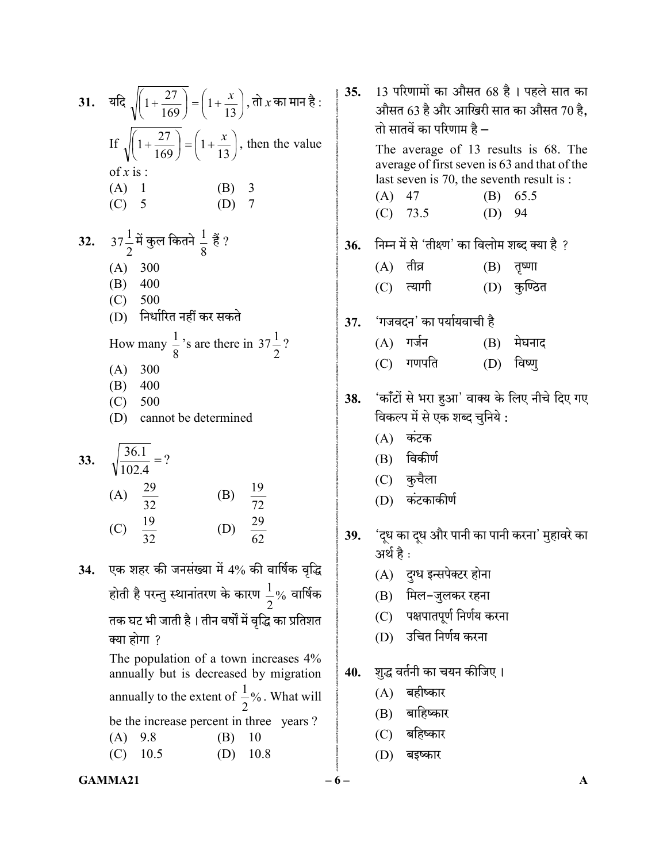| 31. यदि $\sqrt{1+\frac{27}{169}} = \left(1+\frac{x}{13}\right)$ , तो <i>x</i> का मान है : |
|-------------------------------------------------------------------------------------------|
| If $\sqrt{\left(1+\frac{27}{169}\right)} = \left(1+\frac{x}{13}\right)$ , then the value  |
| of $x$ is :                                                                               |
| $(A)$ 1<br>(B) $3$<br>(D) 7<br>$(C)$ 5                                                    |
| 32. $37\frac{1}{2}$ में कुल कितने $\frac{1}{8}$ हैं ?                                     |
| (A) 300                                                                                   |
| $(B)$ 400                                                                                 |
| (C) 500                                                                                   |
| (D) निर्धारित नहीं कर सकते                                                                |
| How many $\frac{1}{8}$ 's are there in 37 $\frac{1}{2}$ ?                                 |
| (A) 300                                                                                   |
| $(B)$ 400                                                                                 |
| (C) 500                                                                                   |
| (D) cannot be determined                                                                  |
| 33. $\sqrt{\frac{36.1}{102.4}}$ = ?                                                       |
| (A) $\frac{29}{32}$<br>(B) $\frac{19}{72}$                                                |
|                                                                                           |
| (D) $\frac{29}{62}$<br>(C) $\frac{19}{32}$                                                |
| एक शहर की जनसंख्या में 4% की वार्षिक वृद्धि                                               |
| होती है परन्तु स्थानांतरण के कारण $\frac{1}{2}$ % वार्षिक                                 |
| तक घट भी जाती है। तीन वर्षों में वृद्धि का प्रतिशत                                        |
| क्या होगा ?                                                                               |
| The population of a town increases 4%                                                     |

annually but is decreased by migration annually to the extent of  $\frac{1}{2}\%$ . 2  $\frac{1}{2}$ %. What will be the increase percent in three years ? (A) 9.8 (B) 10 (C) 10.5 (D) 10.8

# 35.  $13$  परिणामों का औसत 68 है। पहले सात का औसत 63 है और आखिरी सात का औसत 70 है. तो सातवें का परिणाम है $-$  The average of 13 results is 68. The average of first seven is 63 and that of the last seven is 70, the seventh result is : (A) 47 (B) 65.5 (C) 73.5 (D) 94 36. निम्न में से 'तीक्ष्ण' का विलोम शब्द क्या है ?  $(A)$  तीव्र  $(B)$  तृष्णा (C) त्यागी (D) कुण्ठित 37. 'गजवदन' का पर्यायवाची है  $(A)$  गर्जन  $(B)$  मेघनाद (C) गणपति (D) विष्णु 38. 'कॉंटों से भरा हुआ' वाक्य के लिए नीचे दिए गए विकल्प में से एक शब्द चुनिये :  $(A)$  कंटक (B) (C) कुचैला (D) 39. 'दूध का दूध और पानी का पानी करना' मुहावरे का अर्थ है : (A) दुग्ध इन्सपेक्टर होना (B) मिल-जुलकर रहना (C) पक्षपातपूर्ण निर्णय करना (D) 40. शुद्ध वर्तनी का चयन कीजिए। (A) (B) (C)

(D) बइष्कार

#### $GAMMA21$   $-6$   $A$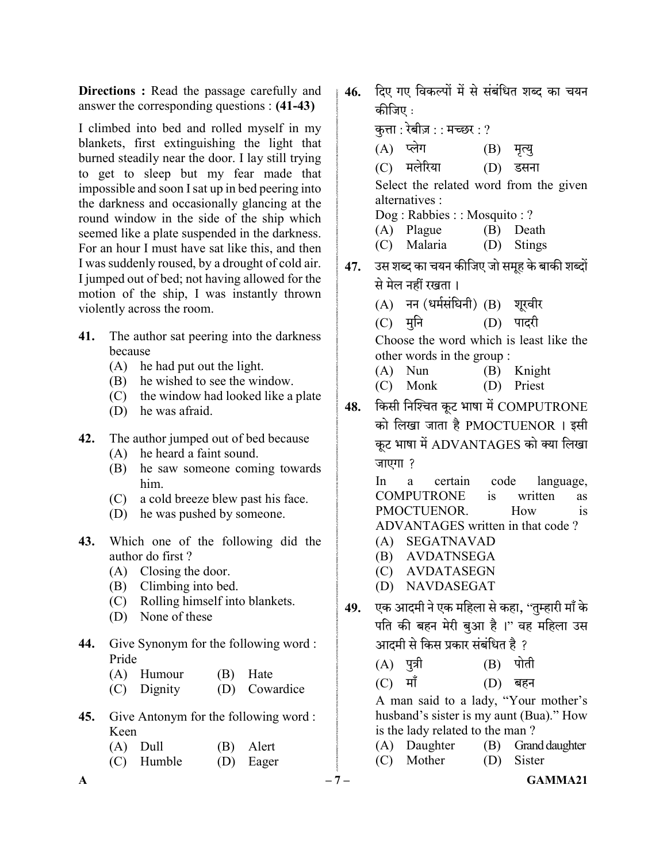Directions : Read the passage carefully and answer the corresponding questions : (41-43)

I climbed into bed and rolled myself in my blankets, first extinguishing the light that burned steadily near the door. I lay still trying to get to sleep but my fear made that impossible and soon I sat up in bed peering into the darkness and occasionally glancing at the round window in the side of the ship which seemed like a plate suspended in the darkness. For an hour I must have sat like this, and then I was suddenly roused, by a drought of cold air. I jumped out of bed; not having allowed for the motion of the ship, I was instantly thrown violently across the room.

- 41. The author sat peering into the darkness because
	- (A) he had put out the light.
	- (B) he wished to see the window.
	- (C) the window had looked like a plate
	- (D) he was afraid.
- 42. The author jumped out of bed because
	- (A) he heard a faint sound.
	- (B) he saw someone coming towards him.
	- (C) a cold breeze blew past his face.
	- (D) he was pushed by someone.
- 43. Which one of the following did the author do first ?
	- (A) Closing the door.
	- (B) Climbing into bed.
	- (C) Rolling himself into blankets.
	- (D) None of these
- 44. Give Synonym for the following word : Pride
	- (A) Humour (B) Hate
	- (C) Dignity (D) Cowardice
- 45. Give Antonym for the following word : Keen
	- (A) Dull (B) Alert (C) Humble (D) Eager

46. दिए गए विकल्पों में से संबंधित शब्द का चयन कीजिए :

कत्ता : रेबीज़ : : मच्छर : ?

- $\mathsf{A}$  and  $\mathsf{A}$  and  $\mathsf{A}$  and  $\mathsf{A}$  and  $\mathsf{A}$  and  $\mathsf{A}$  and  $\mathsf{A}$  and  $\mathsf{A}$  and  $\mathsf{A}$  and  $\mathsf{A}$  and  $\mathsf{A}$  and  $\mathsf{A}$  and  $\mathsf{A}$  and  $\mathsf{A}$  and  $\mathsf{A}$  and  $\mathsf{A}$  and  $\mathsf{A}$  and (A) प्लेग (B) मृत्यु (C) मलेरिया (D) डसना Select the related word from the given alternatives : Dog : Rabbies : : Mosquito : ? (A) Plague (B) Death (C) Malaria (D) Stings 47. उस शब्द का चयन कीजिए जो समूह के बाकी शब्दों से मेल नहीं रखता।  $(A)$  नन (धर्मसंघिनी)  $(B)$  शूरवीर (C) मुनि (D) पादरी Choose the word which is least like the other words in the group : (A) Nun (B) Knight (C) Monk (D) Priest 48. किसी निश्चित कूट भाषा में COMPUTRONE को लिखा जाता है PMOCTUENOR । इसी कूट भाषा में ADVANTAGES को क्या लिखा जाएगा ? In a certain code language, COMPUTRONE is written as PMOCTUENOR. How is ADVANTAGES written in that code ? (A) SEGATNAVAD (B) AVDATNSEGA (C) AVDATASEGN (D) NAVDASEGAT 49. एक आदमी ने एक महिला से कहा, ''तुम्हारी माँ के पति की बहन मेरी बुआ है।" वह महिला उस आदमी से किस प्रकार संबंधित है ? (A) पुत्री (B) पोती (C) माँ (D) बहन A man said to a lady, "Your mother's husband's sister is my aunt (Bua)." How is the lady related to the man ? (A) Daughter (B) Grand daughter (C) Mother (D) Sister
-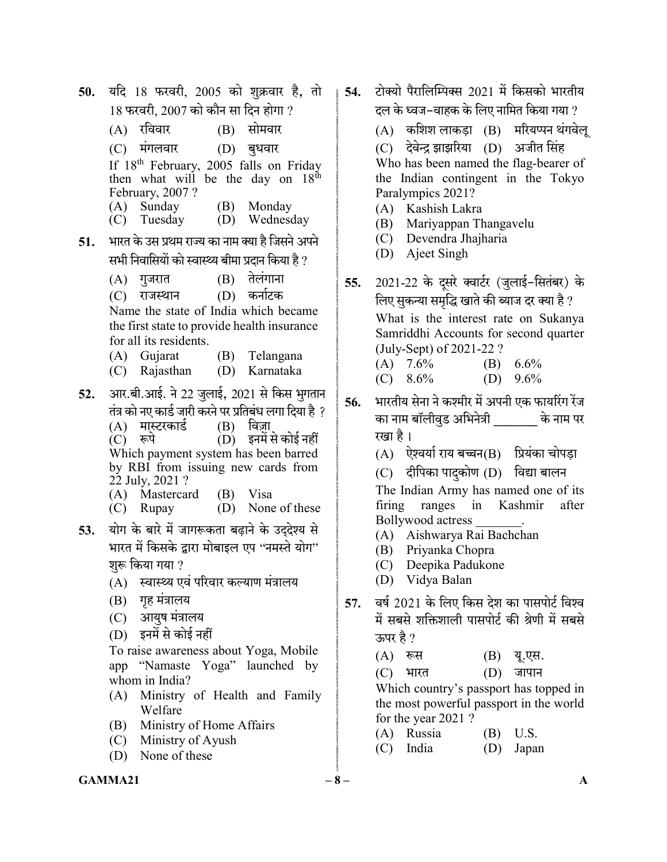50. यदि 18 फरवरी, 2005 को शुक्रवार है, तो  $18$  फरवरी. 2007 को कौन सा दिन होगा ?  $(A)$  रविवार  $(B)$  सोमवार  $(C)$  मंगलवार  $(D)$  बुधवार If 18<sup>th</sup> February, 2005 falls on Friday then what will be the day on  $18^{th}$ February, 2007 ? (A) Sunday (B) Monday (C) Tuesday (D) Wednesday 51. भारत के उस प्रथम राज्य का नाम क्या है जिसने अपने सभी निवासियों को स्वास्थ्य बीमा प्रदान किया है ?  $(A)$  गुजरात  $(B)$  तेलंगाना (C) राजस्थान (D) कर्नाटक Name the state of India which became the first state to provide health insurance for all its residents. (A) Gujarat (B) Telangana (C) Rajasthan (D) Karnataka 52. आर.बी.आई. ने 22 जुलाई, 2021 से किस भुगतान तंत्र को नए कार्ड जारी करने पर प्रतिबंध लगा दिया है ?<br>(A) मास्टरकार्ड (B) विज्ञा (A) मास्टरकार्ड<br>(C) रूपे (D) इनमें से कोई नहीं Which payment system has been barred by RBI from issuing new cards from 22 July, 2021 ? (A) Mastercard (B) Visa (C) Rupay (D) None of these 53. योग के बारे में जागरूकता बढ़ाने के उदुदेश्य से भारत में किसके द्वारा मोबाइल एप ''नमस्ते योग'' शुरू किया गया ? (A) स्वास्थ्य एवं परिवार कल्याण मंत्रालय (B) गृह मंत्रालय (C) आयुष मंत्रालय (D) To raise awareness about Yoga, Mobile app "Namaste Yoga" launched by whom in India? (A) Ministry of Health and Family Welfare (B) Ministry of Home Affairs (C) Ministry of Ayush (D) None of these

- । 54. टोक्यो पैरालिम्पिक्स 2021 में किसको भारतीय दल के ध्वज–वाहक के लिए नामित किया गया ?
	- $(A)$  कशिश लाकड़ा  $(B)$  मरियप्पन थंगवेलू (C) देवेन्द्र झाझरिया (D) अजीत सिंह Who has been named the flag-bearer of the Indian contingent in the Tokyo Paralympics 2021?
	- (A) Kashish Lakra
	- (B) Mariyappan Thangavelu
	- (C) Devendra Jhajharia
	- (D) Ajeet Singh
	- 55. 2021-22 के दुसरे क्वार्टर (जुलाई-सितंबर) के लिए सुकन्या समृद्धि खाते की ब्याज दर क्या है ? What is the interest rate on Sukanya Samriddhi Accounts for second quarter (July-Sept) of 2021-22 ? (A)  $7.6\%$  (B)  $6.6\%$ (C)  $8.6\%$  (D)  $9.6\%$
	- 56. भारतीय सेना ने कश्मीर में अपनी एक फायरिंग रेंज का नाम बॉलीवुड अभिनेत्री के नाम पर रखा है ।
		- $(A)$  ऐश्वर्या राय बच्चन $(B)$  प्रियंका चोपड़ा
		- $(C)$  दीपिका पादकोण  $(D)$  विद्या बालन The Indian Army has named one of its firing ranges in Kashmir after Bollywood actress \_\_\_\_\_\_\_.
		- (A) Aishwarya Rai Bachchan
		- (B) Priyanka Chopra
		- (C) Deepika Padukone
		- (D) Vidya Balan
	- 57. वर्ष 2021 के लिए किस देश का पासपोर्ट विश्व में सबसे शक्तिशाली पासपोर्ट की श्रेणी में सबसे ऊपर है ?
		- $(A)$  रूस  $(B)$  यू.एस.

(C) भारत (D) जापान

 Which country's passport has topped in the most powerful passport in the world for the year 2021 ?

- (A) Russia (B) U.S.
- (C) India (D) Japan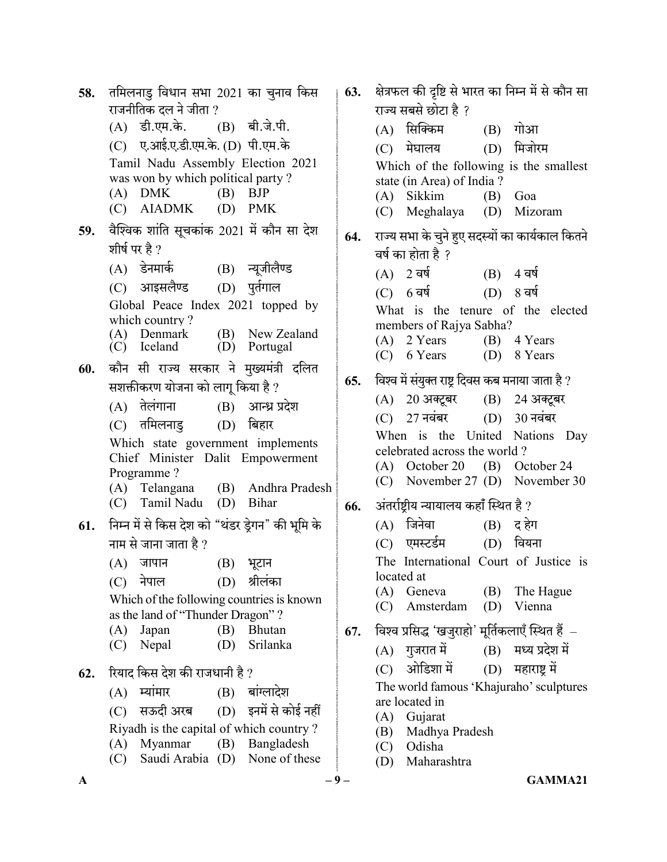$A$  – 9 – GAMMA21 58. तमिलनाडु विधान सभा 2021 का चुनाव किस राजनीतिक दल ने जीता ?<br>(A) डी.एम.के.  $(B)$  बी.जे.पी. (C) ए.आई.ए.डी.एम.के. (D) पी.एम.के Tamil Nadu Assembly Election 2021 was won by which political party ?  $(A)$  DMK  $(B)$  BJP (C) AIADMK (D) PMK 59. वैश्विक शांति सूचकांक 2021 में कौन सा देश शीर्ष पर है ? (A) डेनमार्क (B) न्यूजीलैण्ड (C) आइसलैण्ड (D) पूर्तगाल Global Peace Index 2021 topped by which country? (A) Denmark (B) New Zealand<br>(C) Iceland (D) Portugal (D) Portugal 60. कौन सी राज्य सरकार ने मुख्यमंत्री दलित सशक्तीकरण योजना को लागू किया है ?  $(A)$  तेलंगाना  $(B)$  आन्ध्र प्रदेश (C) तमिलनाडु (D) बिहार Which state government implements Chief Minister Dalit Empowerment Programme ? (A) Telangana (B) Andhra Pradesh (C) Tamil Nadu (D) Bihar  $61.$  निम्न में से किस देश को "थंडर डे़गन" की भूमि के नाम से जाना जाता है ?  $(A)$  जापान  $(B)$  भूटान  $(C)$  नेपाल  $(D)$  श्रीलंका Which of the following countries is known as the land of "Thunder Dragon" ? (A) Japan (B) Bhutan (C) Nepal (D) Srilanka 62. रियाद किस देश की राजधानी है ?  $(A)$  स्यांमार  $(B)$  बांग्लादेश (C) सऊदी अरब (D) इनमें से कोई नहीं Riyadh is the capital of which country ? (A) Myanmar (B) Bangladesh (C) Saudi Arabia (D) None of these

63. क्षेत्रफल की दृष्टि से भारत का निम्न में से कौन सा राज्य सबसे छोटा है ? (A) सिक्किम (B) गोआ (C) (D) Which of the following is the smallest state (in Area) of India ? (A) Sikkim (B) Goa (C) Meghalaya (D) Mizoram 64. राज्य सभा के चुने हुए सदस्यों का कार्यकाल कितने वर्ष का होता है ?  $(A)$  2 वर्ष  $(B)$  4 वर्ष (C) 6 वर्ष (D) 8 वर्ष What is the tenure of the elected members of Rajya Sabha? (A) 2 Years (B) 4 Years (C) 6 Years (D) 8 Years 65. विश्व में संयुक्त राष्ट्र दिवस कब मनाया जाता है ? (A) 20 अक्टूबर (B) 24 अक्टूबर  $(C)$  27 नवंबर  $(D)$  30 नवंबर When is the United Nations Day celebrated across the world ? (A) October 20 (B) October 24 (C) November 27 (D) November 30 66. अंतर्राष्टीय न्यायालय कहाँ स्थित है ?  $(A)$  जिनेवा  $(B)$  द हेग (C) एमस्टर्डम (D) वियना The International Court of Justice is located at (A) Geneva (B) The Hague (C) Amsterdam (D) Vienna  $67.$  विश्व प्रसिद्ध 'खजुराहो' मूर्तिकलाएँ स्थित हैं  $(A)$  गुजरात में  $(B)$  मध्य प्रदेश में (C) ओडिशा में (D) महाराष्ट्र में The world famous 'Khajuraho' sculptures are located in (A) Gujarat (B) Madhya Pradesh (C) Odisha (D) Maharashtra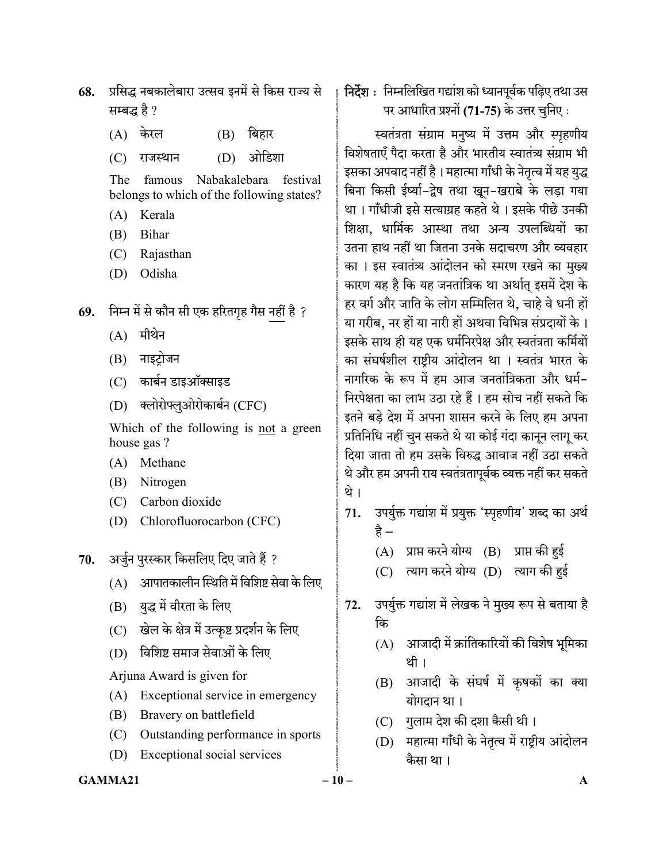- 68. प्रसिद्ध नबकालेबारा उत्सव इनमें से किस राज्य से सम्बद्ध है ?
	- $(A)$  केरल  $(B)$  बिहार

(C) राजस्थान (D) ओडिशा

 The famous Nabakalebara festival belongs to which of the following states?

- (A) Kerala
- (B) Bihar
- (C) Rajasthan
- (D) Odisha
- 69. निम्न में से कौन सी एक हरितगृह गैस नहीं है ?
	- $(A)$  मीथेन
	- (B) नाइट्रोजन
	- (C) कार्बन डाइऑक्साइड
	- (D) क्लोरोफ्लुओरोकार्बन (CFC)

 Which of the following is not a green house gas ?

- (A) Methane
- (B) Nitrogen
- (C) Carbon dioxide
- (D) Chlorofluorocarbon (CFC)
- $70.$  अर्जुन पुरस्कार किसलिए दिए जाते हैं ?
	- $(A)$  आपातकालीन स्थिति में विशिष्ट सेवा के लिए
	- (B) युद्ध में वीरता के लिए
	- (C) खेल के क्षेत्र में उत्कृष्ट प्रदर्शन के लिए
	- (D) विशिष्ट समाज सेवाओं के लिए

Arjuna Award is given for

- (A) Exceptional service in emergency
- (B) Bravery on battlefield
- (C) Outstanding performance in sports
- (D) Exceptional social services

## निर्देश : निम्नलिखित गद्यांश को ध्यानपूर्वक पढ़िए तथा उस पर आधारित प्रश्नों (71-75) के उत्तर चुनिए:

स्वतंत्रता संग्राम मनुष्य में उत्तम और स्पृहणीय विशेषताएँ पैदा करता है और भारतीय स्वातंत्र्य संग्राम भी इसका अपवाद नहीं है। महात्मा गाँधी के नेतृत्व में यह युद्ध बिना किसी ईर्ष्या-द्वेष तथा खून-खराबे के लड़ा गया था। गाँधीजी इसे सत्याग्रह कहते थे। इसके पीछे उनकी शिक्षा. धार्मिक आस्था तथा अन्य उपलब्धियों का उतना हाथ नहीं था जितना उनके सदाचरण और व्यवहार का । इस स्वातंत्र्य आंदोलन को स्मरण रखने का मुख्य कारण यह है कि यह जनतांत्रिक था अर्थात् इसमें देश के हर वर्ग और जाति के लोग सम्मिलित थे, चाहे वे धनी हों या गरीब, नर हों या नारी हों अथवा विभिन्न संप्रदायों के । इसके साथ ही यह एक धर्मनिरपेक्ष और स्वतंत्रता कर्मियों का संघर्षशील राष्ट्रीय आंदोलन था । स्वतंत्र भारत के नागरिक के रूप में हम आज जनतांत्रिकता और धर्म-निरपेक्षता का लाभ उठा रहे हैं। हम सोच नहीं सकते कि इतने बड़े देश में अपना शासन करने के लिए हम अपना प्रतिनिधि नहीं चुन सकते थे या कोई गंदा कानून लागू कर दिया जाता तो हम उसके विरुद्ध आवाज नहीं उठा सकते थे और हम अपनी राय स्वतंत्रतापूर्वक व्यक्त नहीं कर सकते थे ।

- 71. उपर्युक्त गद्यांश में प्रयुक्त 'स्पृहणीय' शब्द का अर्थ है –
	- $(A)$  प्राप्त करने योग्य  $(B)$  प्राप्त की हई
	- $(C)$  त्याग करने योग्य  $(D)$  त्याग की हई
- 72. उपर्युक्त गद्यांश में लेखक ने मुख्य रूप से बताया है कि
	- (A) आजादी में क्रांतिकारियों की विशेष भूमिका थी ।
	- (B) आजादी के संघर्ष में कृषकों का क्या योगदान था।
	- (C) गुलाम देश की दशा कैसी थी।
	- (D) महात्मा गाँधी के नेतृत्व में राष्ट्रीय आंदोलन कैसा था।
- $GAMMA21$   $-10$   $-$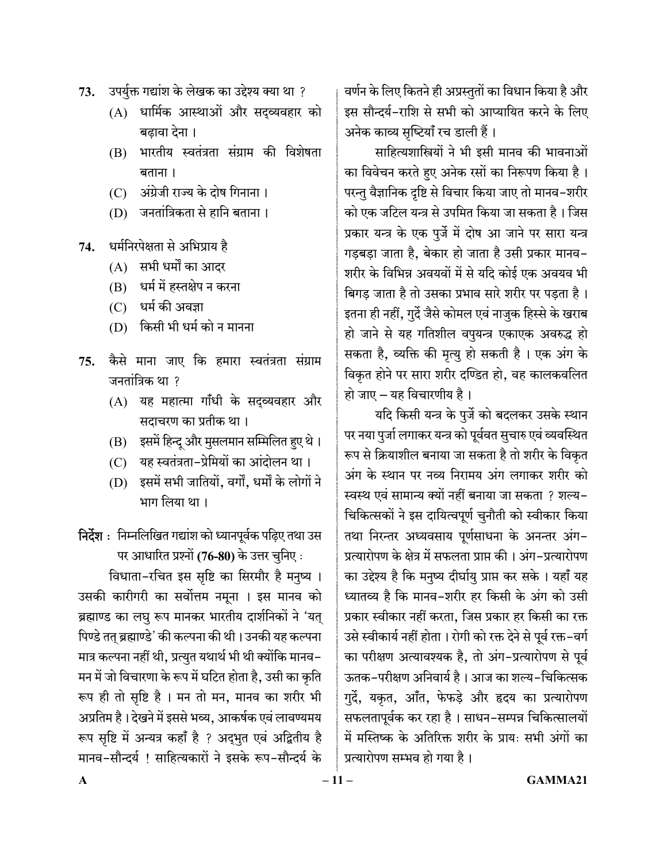- 73. उपर्युक्त गद्यांश के लेखक का उद्देश्य क्या था ?
	- (A) धार्मिक आस्थाओं और सद्व्यवहार को बढावा देना ।
	- भारतीय स्वतंत्रता संग्राम की विशेषता (B) बताना ।
	- (C) अंग्रेजी राज्य के दोष गिनाना।
	- (D) जनतांत्रिकता से हानि बताना।
- धर्मनिरपेक्षता से अभिप्राय है 74.
	- (A) सभी धर्मों का आदर
	- (B) धर्म में हस्तक्षेप न करना
	- (C) धर्म की अवज्ञा
	- (D) किसी भी धर्म को न मानना
- कैसे माना जाए कि हमारा स्वतंत्रता संग्राम 75. जनतांत्रिक था ?
	- (A) यह महात्मा गाँधी के सदव्यवहार और सदाचरण का प्रतीक था।
	- (B) इसमें हिन्दू और मुसलमान सम्मिलित हुए थे।
	- यह स्वतंत्रता-प्रेमियों का आंदोलन था।  $(C)$
	- (D) इसमें सभी जातियों, वर्गों, धर्मों के लोगों ने भाग लिया था ।

# निर्देश : निम्नलिखित गद्यांश को ध्यानपूर्वक पढ़िए तथा उस पर आधारित प्रश्नों (76-80) के उत्तर चुनिए :

विधाता-रचित इस सृष्टि का सिरमौर है मनुष्य । उसकी कारीगरी का सर्वोत्तम नमूना । इस मानव को ब्रह्माण्ड का लघु रूप मानकर भारतीय दार्शनिकों ने 'यत् पिण्डे तत् ब्रह्माण्डे' की कल्पना की थी। उनकी यह कल्पना मात्र कल्पना नहीं थी, प्रत्युत यथार्थ भी थी क्योंकि मानव– मन में जो विचारणा के रूप में घटित होता है, उसी का कृति रूप ही तो सृष्टि है । मन तो मन, मानव का शरीर भी अप्रतिम है। देखने में इससे भव्य, आकर्षक एवं लावण्यमय रूप सृष्टि में अन्यत्र कहाँ है ? अद्भुत एवं अद्वितीय है मानव-सौन्दर्य ! साहित्यकारों ने इसके रूप-सौन्दर्य के

वर्णन के लिए कितने ही अप्रस्तुतों का विधान किया है और इस सौन्दर्य-राशि से सभी को आप्यायित करने के लिए अनेक काव्य सुष्टियाँ रच डाली हैं।

साहित्यशास्त्रियों ने भी इसी मानव की भावनाओं का विवेचन करते हुए अनेक रसों का निरूपण किया है। परन्तु वैज्ञानिक दृष्टि से विचार किया जाए तो मानव–शरीर को एक जटिल यन्त्र से उपमित किया जा सकता है। जिस प्रकार यन्त्र के एक पुर्जे में दोष आ जाने पर सारा यन्त्र गड़बड़ा जाता है, बेकार हो जाता है उसी प्रकार मानव-शरीर के विभिन्न अवयवों में से यदि कोई एक अवयव भी बिगड जाता है तो उसका प्रभाव सारे शरीर पर पडता है। इतना ही नहीं, गुर्दे जैसे कोमल एवं नाजुक हिस्से के खराब हो जाने से यह गतिशील वपुयन्त्र एकाएक अवरुद्ध हो सकता है, व्यक्ति की मृत्यु हो सकती है। एक अंग के विकृत होने पर सारा शरीर दण्डित हो, वह कालकवलित हो जाए - यह विचारणीय है।

यदि किसी यन्त्र के पुर्जे को बदलकर उसके स्थान पर नया पुर्जा लगाकर यन्त्र को पूर्ववत सुचारु एवं व्यवस्थित रूप से क्रियाशील बनाया जा सकता है तो शरीर के विकृत अंग के स्थान पर नव्य निरामय अंग लगाकर शरीर को स्वस्थ एवं सामान्य क्यों नहीं बनाया जा सकता ? शल्य-चिकित्सकों ने इस दायित्वपूर्ण चुनौती को स्वीकार किया तथा निरन्तर अध्यवसाय पूर्णसाधना के अनन्तर अंग-प्रत्यारोपण के क्षेत्र में सफलता प्राप्त की। अंग–प्रत्यारोपण का उद्देश्य है कि मनुष्य दीर्घायु प्राप्त कर सके । यहाँ यह ध्यातव्य है कि मानव–शरीर हर किसी के अंग को उसी प्रकार स्वीकार नहीं करता, जिस प्रकार हर किसी का रक्त उसे स्वीकार्य नहीं होता। रोगी को रक्त देने से पूर्व रक्त-वर्ग का परीक्षण अत्यावश्यक है, तो अंग-प्रत्यारोपण से पूर्व ऊतक-परीक्षण अनिवार्य है। आज का शल्य-चिकित्सक गुर्दे, यकृत, आँत, फेफड़े और हृदय का प्रत्यारोपण सफलतापूर्वक कर रहा है। साधन–सम्पन्न चिकित्सालयों में मस्तिष्क के अतिरिक्त शरीर के प्रायः सभी अंगों का प्रत्यारोपण सम्भव हो गया है।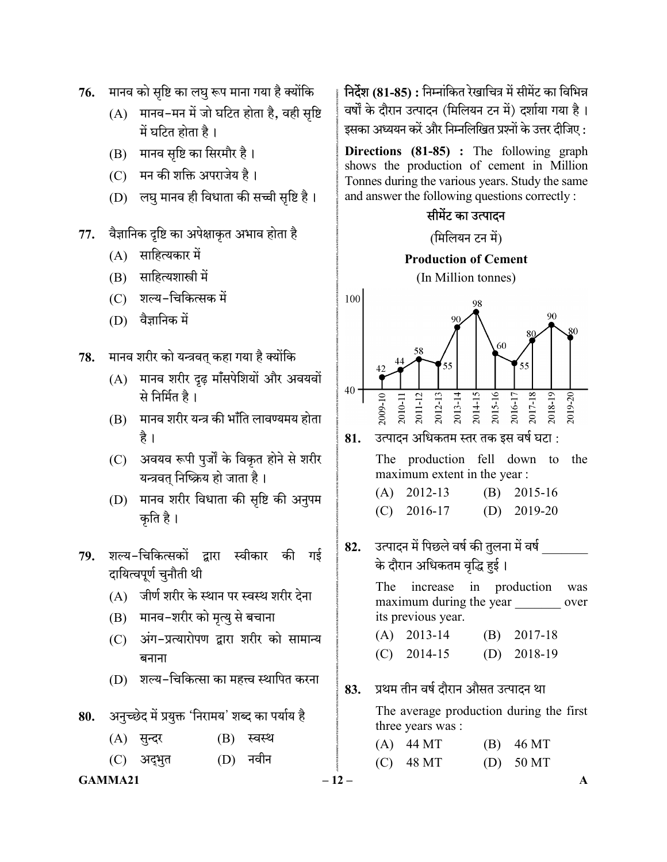- 76. मानव को सृष्टि का लघु रूप माना गया है क्योंकि
	- $(A)$  मानव-मन में जो घटित होता है, वही सृष्टि में घटित होता है।
	- (B) मानव सृष्टि का सिरमौर है।
	- (C) मन की शक्ति अपराजेय है।
	- (D) लघु मानव ही विधाता की सच्ची सृष्टि है।
- 77. वैज्ञानिक दृष्टि का अपेक्षाकृत अभाव होता है
	- $(A)$  साहित्यकार में
	- (B) साहित्यशास्त्री में
	- (C) शल्य-चिकित्सक में
	- (D)
- 78. मानव शरीर को यन्त्रवत् कहा गया है क्योंकि
	- (A) मानव शरीर दृढ़ माँसपेशियों और अवयवों से निर्मित है।
	- (B) मानव शरीर यन्त्र की भाँति लावण्यमय होता है ।
	- (C) अवयव रूपी पुर्जों के विकृत होने से शरीर यन्त्रवत् निष्क्रिय हो जाता है।
	- (D) मानव शरीर विधाता की सृष्टि की अनुपम कृति है।
- 79. शल्य-चिकित्सकों द्वारा स्वीकार की गई दायित्वपूर्ण चुनौती थी
	- (A) जीर्ण शरीर के स्थान पर स्वस्थ शरीर देना
	- (B) मानव-शरीर को मृत्यु से बचाना
	- (C) अंग-प्रत्यारोपण द्वारा शरीर को सामान्य बनाना
	- (D) शल्य-चिकित्सा का महत्त्व स्थापित करना

80. अनुच्छेद में प्रयुक्त 'निरामय' शब्द का पर्याय है

- (A) सुन्दर (B) स्वस्थ
- (C) अद्भुत (D) नवीन

### $GAMMA21$   $-12$   $-$

निर्देश (81-85) : निम्नांकित रेखाचित्र में सीमेंट का विभिन्न वर्षों के दौरान उत्पादन (मिलियन टन में) दर्शाया गया है। इसका अध्ययन करें और निम्नलिखित प्रश्नों के उत्तर दीजिए :

Directions (81-85) : The following graph shows the production of cement in Million Tonnes during the various years. Study the same and answer the following questions correctly :

## सीमेंट का उत्पादन

(मिलियन टन में)

# Production of Cement

(In Million tonnes)



81. उत्पादन अधिकतम स्तर तक इस वर्ष घटा :

 The production fell down to the maximum extent in the year :

| $(A)$ 2012-13 | $(B)$ 2015-16 |
|---------------|---------------|
| $(C)$ 2016-17 | (D) $2019-20$ |

82. उत्पादन में पिछले वर्ष की तुलना में वर्ष के दौरान अधिकतम वृद्धि हुई।

> The increase in production was maximum during the year over its previous year.

| $(A)$ 2013-14 | $(B)$ 2017-18 |
|---------------|---------------|
| $(C)$ 2014-15 | (D) $2018-19$ |

83. प्रथम तीन वर्ष दौरान औसत उत्पादन था

 The average production during the first three years was :

 (A) 44 MT (B) 46 MT (C)  $48 \text{ MT}$  (D)  $50 \text{ MT}$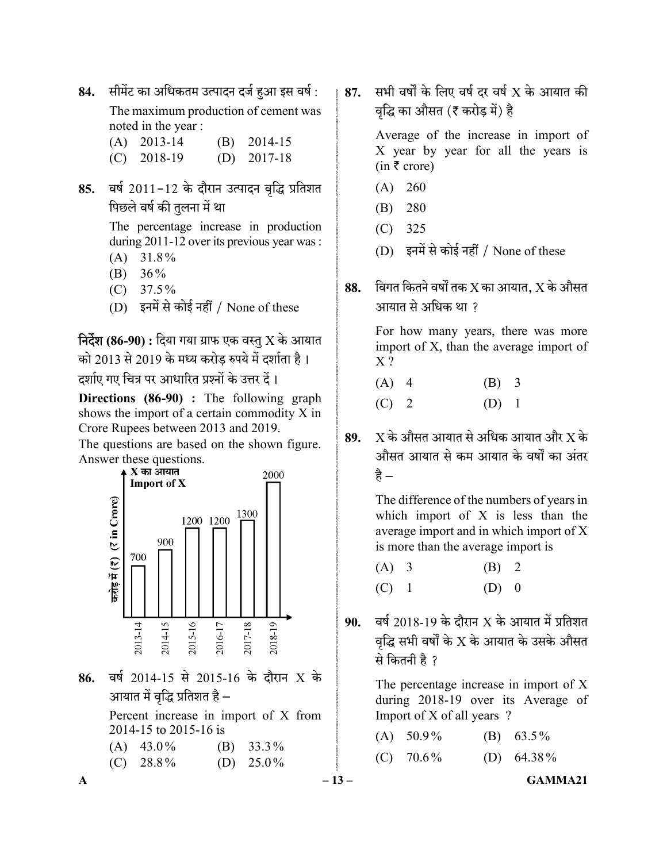84. सीमेंट का अधिकतम उत्पादन दर्ज हुआ इस वर्ष :

 The maximum production of cement was noted in the year :

- (A) 2013-14 (B) 2014-15
- (C) 2018-19 (D) 2017-18
- 85. वर्ष 2011-12 के दौरान उत्पादन वृद्धि प्रतिशत पिछले वर्ष की तुलना में था

 The percentage increase in production during 2011-12 over its previous year was :

- (A) 31.8%
- (B) 36%
- $(C)$  37.5%
- $(D)$  इनमें से कोई नहीं / None of these

**निर्देश (86-90) :** दिया गया ग्राफ एक वस्तु X के आयात को 2013 से 2019 के मध्य करोड़ रुपये में दर्शाता है। दर्शाए गए चित्र पर आधारित प्रश्नों के उत्तर दें।

Directions (86-90) : The following graph shows the import of a certain commodity X in Crore Rupees between 2013 and 2019.

The questions are based on the shown figure. Answer these questions.<br> $\overrightarrow{X}$  का आयात



86. वर्ष 2014-15 से 2015-16 के दौरान X के आयात में वृद्धि प्रतिशत है –

> Percent increase in import of X from 2014-15 to 2015-16 is

87. सभी वर्षों के लिए वर्ष दर वर्ष  $X$  के आयात की वृद्धि का औसत (₹ करोड़ में) है

> Average of the increase in import of X year by year for all the years is  $(in \bar{\tau} \text{ crore})$

- (A) 260
- (B) 280
- (C) 325
- (D) इनमें से कोई नहीं / None of these
- 88. विगत कितने वर्षों तक  $X$  का आयात,  $X$  के औसत आयात से अधिक था ?

 For how many years, there was more import of X, than the average import of  $X$ ?

- (A) 4 (B) 3
- $(C)$  2  $(D)$  1
- 89.  $X$  के औसत आयात से अधिक आयात और  $X$  के औसत आयात से कम आयात के वर्षों का अंतर हे –

 The difference of the numbers of years in which import of  $X$  is less than the average import and in which import of X is more than the average import is

| $(A)$ 3 | (B) 2   |  |
|---------|---------|--|
| $(C)$ 1 | $(D)$ 0 |  |

90. वर्ष 2018-19 के दौरान  $X$  के आयात में प्रतिशत वृद्धि सभी वर्षों के  $\overline{X}$  के आयात के उसके औसत से कितनी है ?

> The percentage increase in import of X during 2018-19 over its Average of Import of X of all years ?

|                                         |              | $-13-$ |             | GAMMA21       |
|-----------------------------------------|--------------|--------|-------------|---------------|
| $(C)$ 28.8%                             | (D) $25.0\%$ |        | $(C)$ 70.6% | (D) $64.38\%$ |
| $2014 - 15102015 - 1015$<br>$(A)$ 43.0% | (B) $33.3\%$ |        | $(A)$ 50.9% | (B) $63.5\%$  |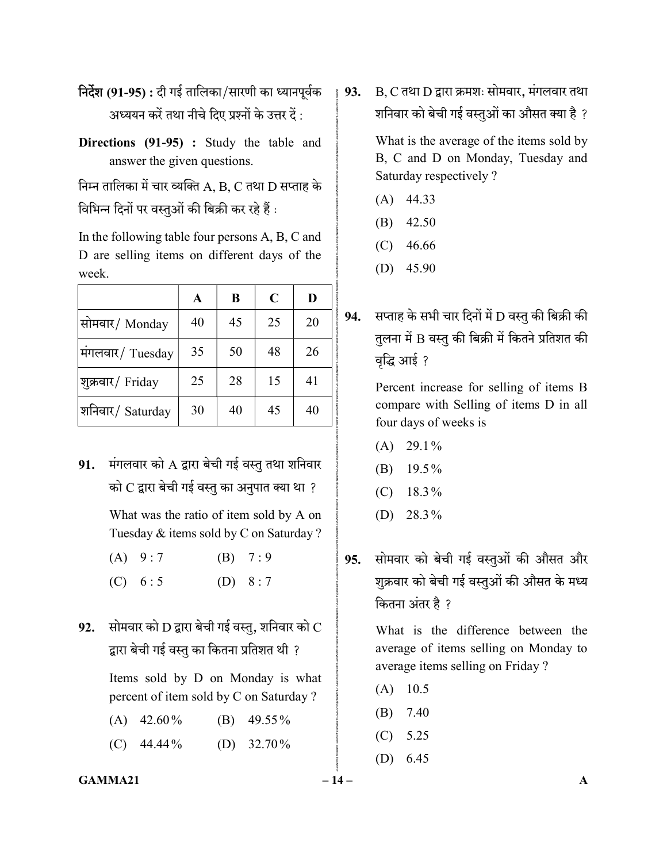- निर्देश (91-95) : दी गई तालिका/सारणी का ध्यानपूर्वक अध्ययन करें तथा नीचे दिए प्रश्नों के उत्तर दें :
- Directions (91-95) : Study the table and answer the given questions.

निम्न तालिका में चार व्यक्ति  $A$ ,  $B$ ,  $C$  तथा  $D$  सप्ताह के विभिन्न दिनों पर वस्तुओं की बिक्री कर रहे हैं :

In the following table four persons A, B, C and D are selling items on different days of the week.

|                  | A  | B  | $\mathbf C$ | D  |
|------------------|----|----|-------------|----|
| सोमवार/Monday    | 40 | 45 | 25          | 20 |
| मंगलवार/ Tuesday | 35 | 50 | 48          | 26 |
| शुक्रवार/ Friday | 25 | 28 | 15          | 41 |
| शनिवार/ Saturday | 30 | 40 | 45          | 40 |

91. मंगलवार को A द्वारा बेची गई वस्तु तथा शनिवार को  $C$  द्वारा बेची गई वस्तु का अनुपात क्या था ?

> What was the ratio of item sold by A on Tuesday & items sold by C on Saturday ?

- (A)  $9:7$  (B)  $7:9$
- (C)  $6:5$  (D)  $8:7$
- 92. सोमवार को  $D$  द्वारा बेची गई वस्तु, शनिवार को  $C$ द्वारा बेची गई वस्तु का कितना प्रतिशत थी ?

 Items sold by D on Monday is what percent of item sold by C on Saturday ?

 (A) 42.60% (B) 49.55 % (C)  $44.44\%$  (D)  $32.70\%$  93.  $B, C$  तथा  $D$  द्वारा क्रमशः सोमवार, मंगलवार तथा शनिवार को बेची गई वस्तुओं का औसत क्या है ?

> What is the average of the items sold by B, C and D on Monday, Tuesday and Saturday respectively ?

- (A) 44.33
- (B) 42.50
- (C) 46.66
- (D) 45.90
- $94.$  सप्ताह के सभी चार दिनों में D वस्तु की बिक्री की तुलना में B वस्तु की बिक्री में कितने प्रतिशत की वृद्धि आई ?

 Percent increase for selling of items B compare with Selling of items D in all four days of weeks is

- $(A)$  29.1%
- (B) 19.5%
- $(C)$  18.3%
- (D)  $28.3\%$
- 95. सोमवार को बेची गई वस्तुओं की औसत और शुक्रवार को बेची गई वस्तुओं की औसत के मध्य कितना अंतर है ?

 What is the difference between the average of items selling on Monday to average items selling on Friday ?

- $(A)$  10.5
- (B) 7.40
- (C) 5.25
- (D) 6.45

 $GAMMA21$   $-14$   $-$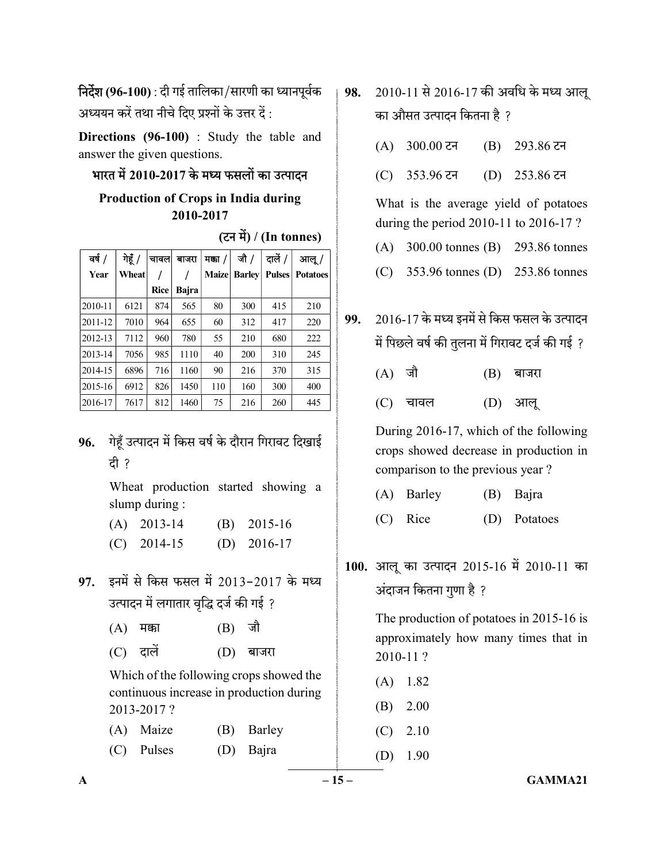निर्देश (96-100) : दी गई तालिका/सारणी का ध्यानपूर्वक अध्ययन करें तथा नीचे दिए प्रश्नों के उत्तर दें :

Directions (96-100) : Study the table and answer the given questions.

### भारत में 2010-2017 के मध्य फसलों का उत्पादन

## Production of Crops in India during 2010-2017

(टन में) / (In tonnes)

| वर्ष /  | गेहूँ / | चावल। | बाजरा | मका /        | जौ /          | दालें /       | आलू /           |
|---------|---------|-------|-------|--------------|---------------|---------------|-----------------|
| Year    | Wheat   |       |       | <b>Maize</b> | <b>Barley</b> | <b>Pulses</b> | <b>Potatoes</b> |
|         |         | Rice  | Bajra |              |               |               |                 |
| 2010-11 | 6121    | 874   | 565   | 80           | 300           | 415           | 210             |
| 2011-12 | 7010    | 964   | 655   | 60           | 312           | 417           | 220             |
| 2012-13 | 7112    | 960   | 780   | 55           | 210           | 680           | 222             |
| 2013-14 | 7056    | 985   | 1110  | 40           | 200           | 310           | 245             |
| 2014-15 | 6896    | 716   | 1160  | 90           | 216           | 370           | 315             |
| 2015-16 | 6912    | 826   | 1450  | 110          | 160           | 300           | 400             |
| 2016-17 | 7617    | 812   | 1460  | 75           | 216           | 260           | 445             |

## 96. गेहूँ उत्पादन में किस वर्ष के दौरान गिरावट दिखाई दी ?

 Wheat production started showing a slump during :

- (A) 2013-14 (B) 2015-16
- (C) 2014-15 (D) 2016-17
- 97. इनमें से किस फसल में 2013-2017 के मध्य उत्पादन में लगातार वृद्धि दर्ज की गई ?
	- $(A)$  मक्का  $(B)$  जौ
	- $(C)$  दालें  $(D)$  बाजरा

 Which of the following crops showed the continuous increase in production during 2013-2017 ?

| (A) Maize    | (B) Barley |
|--------------|------------|
| $(C)$ Pulses | (D) Bajra  |

- 98. 2010-11 से 2016-17 की अवधि के मध्य आल का औसत उत्पादन कितना है ?
	- $(A)$  300.00 टन (B) 293.86 टन
	- $(C)$  353.96 टन  $(D)$  253.86 टन

 What is the average yield of potatoes during the period 2010-11 to 2016-17 ?

- (A) 300.00 tonnes (B) 293.86 tonnes
- (C) 353.96 tonnes (D) 253.86 tonnes
- 99. 2016-17 में पिछले वर्ष की तुलना में गिरावट दर्ज की गई ?
	- $(A)$  जौ  $(B)$  बाजरा
	- $(C)$  चावल  $(D)$  आलू

 During 2016-17, which of the following crops showed decrease in production in comparison to the previous year ?

- (A) Barley (B) Bajra
- (C) Rice (D) Potatoes
- 100. आलू का उत्पादन 2015-16 में 2010-11 का अंदाजन कितना गुणा है ?

 The production of potatoes in 2015-16 is approximately how many times that in 2010-11 ?

- (A) 1.82
- (B) 2.00
- (C) 2.10

(D) 1.90